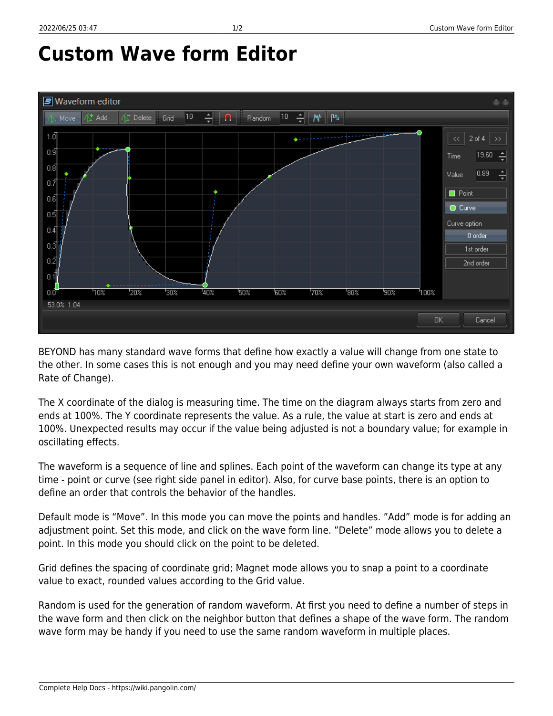## **Custom Wave form Editor**



BEYOND has many standard wave forms that define how exactly a value will change from one state to the other. In some cases this is not enough and you may need define your own waveform (also called a Rate of Change).

The X coordinate of the dialog is measuring time. The time on the diagram always starts from zero and ends at 100%. The Y coordinate represents the value. As a rule, the value at start is zero and ends at 100%. Unexpected results may occur if the value being adjusted is not a boundary value; for example in oscillating effects.

The waveform is a sequence of line and splines. Each point of the waveform can change its type at any time - point or curve (see right side panel in editor). Also, for curve base points, there is an option to define an order that controls the behavior of the handles.

Default mode is "Move". In this mode you can move the points and handles. "Add" mode is for adding an adjustment point. Set this mode, and click on the wave form line. "Delete" mode allows you to delete a point. In this mode you should click on the point to be deleted.

Grid defines the spacing of coordinate grid; Magnet mode allows you to snap a point to a coordinate value to exact, rounded values according to the Grid value.

Random is used for the generation of random waveform. At first you need to define a number of steps in the wave form and then click on the neighbor button that defines a shape of the wave form. The random wave form may be handy if you need to use the same random waveform in multiple places.